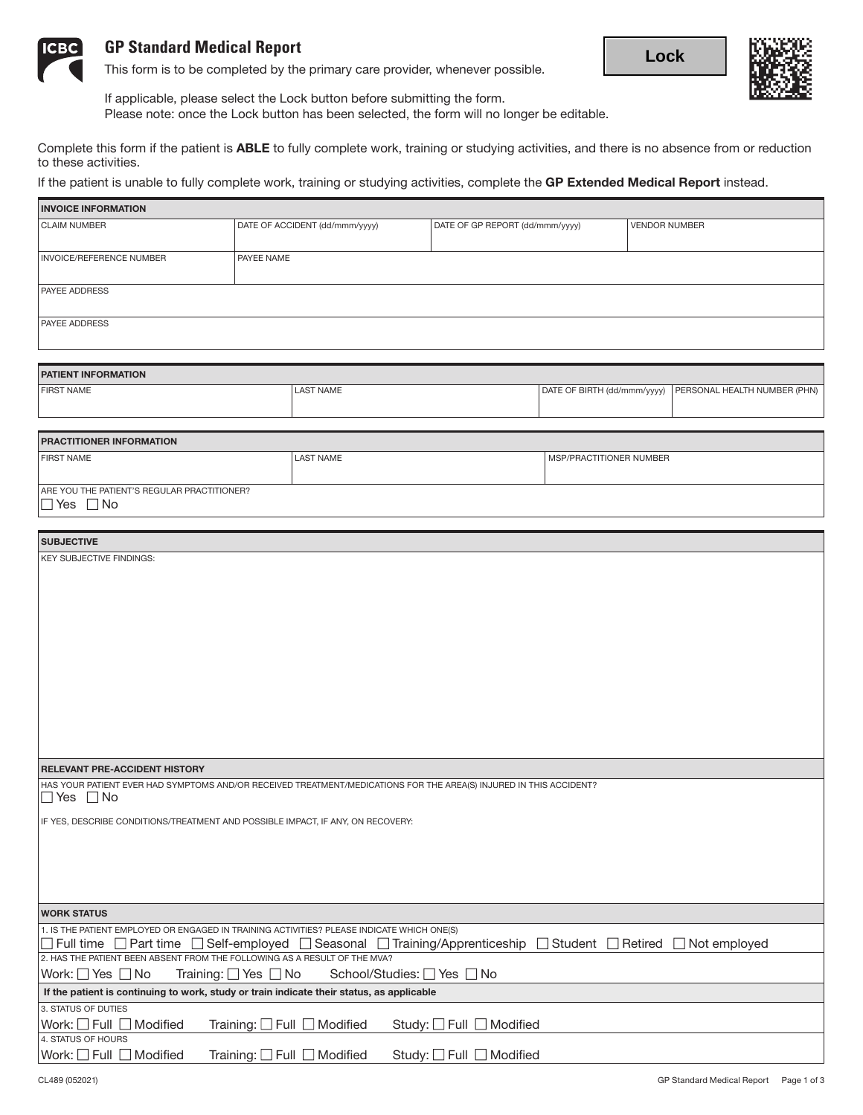

# **GP Standard Medical Report**

This form is to be completed by the primary care provider, whenever possible.





If applicable, please select the Lock button before submitting the form. Please note: once the Lock button has been selected, the form will no longer be editable.

Complete this form if the patient is ABLE to fully complete work, training or studying activities, and there is no absence from or reduction to these activities.

If the patient is unable to fully complete work, training or studying activities, complete the GP Extended Medical Report instead.

| <b>INVOICE INFORMATION</b>                                                                                                                                |                                |                                 |                                                            |  |  |
|-----------------------------------------------------------------------------------------------------------------------------------------------------------|--------------------------------|---------------------------------|------------------------------------------------------------|--|--|
| <b>CLAIM NUMBER</b>                                                                                                                                       | DATE OF ACCIDENT (dd/mmm/yyyy) | DATE OF GP REPORT (dd/mmm/yyyy) | <b>VENDOR NUMBER</b>                                       |  |  |
|                                                                                                                                                           |                                |                                 |                                                            |  |  |
| INVOICE/REFERENCE NUMBER                                                                                                                                  | PAYEE NAME                     |                                 |                                                            |  |  |
| <b>PAYEE ADDRESS</b>                                                                                                                                      |                                |                                 |                                                            |  |  |
|                                                                                                                                                           |                                |                                 |                                                            |  |  |
| PAYEE ADDRESS                                                                                                                                             |                                |                                 |                                                            |  |  |
|                                                                                                                                                           |                                |                                 |                                                            |  |  |
| <b>PATIENT INFORMATION</b>                                                                                                                                |                                |                                 |                                                            |  |  |
| <b>FIRST NAME</b>                                                                                                                                         | <b>LAST NAME</b>               |                                 | DATE OF BIRTH (dd/mmm/yyyy)   PERSONAL HEALTH NUMBER (PHN) |  |  |
|                                                                                                                                                           |                                |                                 |                                                            |  |  |
|                                                                                                                                                           |                                |                                 |                                                            |  |  |
| PRACTITIONER INFORMATION                                                                                                                                  |                                |                                 |                                                            |  |  |
| <b>FIRST NAME</b>                                                                                                                                         | <b>LAST NAME</b>               | MSP/PRACTITIONER NUMBER         |                                                            |  |  |
| ARE YOU THE PATIENT'S REGULAR PRACTITIONER?                                                                                                               |                                |                                 |                                                            |  |  |
| $\Box$ Yes $\Box$ No                                                                                                                                      |                                |                                 |                                                            |  |  |
|                                                                                                                                                           |                                |                                 |                                                            |  |  |
| <b>SUBJECTIVE</b>                                                                                                                                         |                                |                                 |                                                            |  |  |
| <b>KEY SUBJECTIVE FINDINGS:</b>                                                                                                                           |                                |                                 |                                                            |  |  |
|                                                                                                                                                           |                                |                                 |                                                            |  |  |
|                                                                                                                                                           |                                |                                 |                                                            |  |  |
|                                                                                                                                                           |                                |                                 |                                                            |  |  |
|                                                                                                                                                           |                                |                                 |                                                            |  |  |
|                                                                                                                                                           |                                |                                 |                                                            |  |  |
|                                                                                                                                                           |                                |                                 |                                                            |  |  |
|                                                                                                                                                           |                                |                                 |                                                            |  |  |
|                                                                                                                                                           |                                |                                 |                                                            |  |  |
|                                                                                                                                                           |                                |                                 |                                                            |  |  |
|                                                                                                                                                           |                                |                                 |                                                            |  |  |
|                                                                                                                                                           |                                |                                 |                                                            |  |  |
| <b>RELEVANT PRE-ACCIDENT HISTORY</b>                                                                                                                      |                                |                                 |                                                            |  |  |
| HAS YOUR PATIENT EVER HAD SYMPTOMS AND/OR RECEIVED TREATMENT/MEDICATIONS FOR THE AREA(S) INJURED IN THIS ACCIDENT?                                        |                                |                                 |                                                            |  |  |
| $\Box$ Yes $\Box$ No                                                                                                                                      |                                |                                 |                                                            |  |  |
| IF YES, DESCRIBE CONDITIONS/TREATMENT AND POSSIBLE IMPACT, IF ANY, ON RECOVERY:                                                                           |                                |                                 |                                                            |  |  |
|                                                                                                                                                           |                                |                                 |                                                            |  |  |
|                                                                                                                                                           |                                |                                 |                                                            |  |  |
|                                                                                                                                                           |                                |                                 |                                                            |  |  |
|                                                                                                                                                           |                                |                                 |                                                            |  |  |
| <b>WORK STATUS</b>                                                                                                                                        |                                |                                 |                                                            |  |  |
| 1. IS THE PATIENT EMPLOYED OR ENGAGED IN TRAINING ACTIVITIES? PLEASE INDICATE WHICH ONE(S)                                                                |                                |                                 |                                                            |  |  |
| □ Full time □ Part time □ Self-employed □ Seasonal □ Training/Apprenticeship □ Student □ Retired □ Not employed                                           |                                |                                 |                                                            |  |  |
| 2. HAS THE PATIENT BEEN ABSENT FROM THE FOLLOWING AS A RESULT OF THE MVA?<br>Work: $\Box$ Yes $\Box$ No                                                   |                                |                                 |                                                            |  |  |
| Training: $\Box$ Yes $\Box$ No<br>School/Studies: □ Yes □ No<br>If the patient is continuing to work, study or train indicate their status, as applicable |                                |                                 |                                                            |  |  |
| 3. STATUS OF DUTIES                                                                                                                                       |                                |                                 |                                                            |  |  |
| Work: $\Box$ Full $\Box$ Modified<br>Training: $\Box$ Full $\Box$ Modified<br>Study: □ Full □ Modified                                                    |                                |                                 |                                                            |  |  |
| 4. STATUS OF HOURS                                                                                                                                        |                                |                                 |                                                            |  |  |
| Work: $\Box$ Full $\Box$ Modified<br>Training: □ Full □ Modified<br>Study: □ Full □ Modified                                                              |                                |                                 |                                                            |  |  |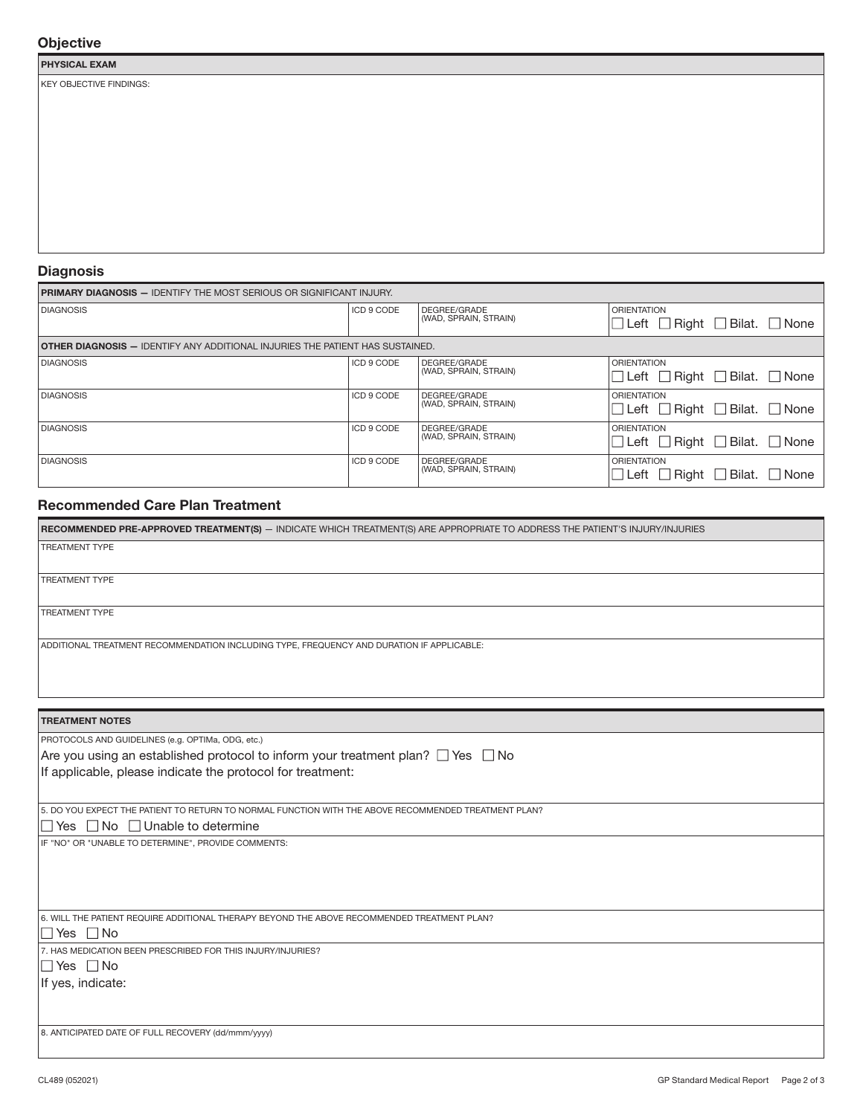# **Objective**

#### PHYSICAL EXAM

KEY OBJECTIVE FINDINGS:

### **Diagnosis**

| <b>PRIMARY DIAGNOSIS - IDENTIFY THE MOST SERIOUS OR SIGNIFICANT INJURY.</b>             |            |                                       |                                                                          |  |  |
|-----------------------------------------------------------------------------------------|------------|---------------------------------------|--------------------------------------------------------------------------|--|--|
| <b>DIAGNOSIS</b>                                                                        | ICD 9 CODE | DEGREE/GRADE<br>(WAD, SPRAIN, STRAIN) | <b>ORIENTATION</b><br>$\Box$ Left $\Box$ Right $\Box$ Bilat. $\Box$ None |  |  |
| <b>  OTHER DIAGNOSIS — I</b> DENTIFY ANY ADDITIONAL INJURIES THE PATIENT HAS SUSTAINED. |            |                                       |                                                                          |  |  |
| <b>DIAGNOSIS</b>                                                                        | ICD 9 CODE | DEGREE/GRADE<br>(WAD, SPRAIN, STRAIN) | <b>ORIENTATION</b><br>$\Box$ Left $\Box$ Right $\Box$ Bilat. $\Box$ None |  |  |
| <b>DIAGNOSIS</b>                                                                        | ICD 9 CODE | DEGREE/GRADE<br>(WAD, SPRAIN, STRAIN) | <b>ORIENTATION</b><br>□ Left □ Right □ Bilat. □ None                     |  |  |
| <b>DIAGNOSIS</b>                                                                        | ICD 9 CODE | DEGREE/GRADE<br>(WAD, SPRAIN, STRAIN) | <b>ORIENTATION</b><br>□ Left □ Right □ Bilat. □ None                     |  |  |
| <b>DIAGNOSIS</b>                                                                        | ICD 9 CODE | DEGREE/GRADE<br>(WAD, SPRAIN, STRAIN) | <b>ORIENTATION</b><br>□ Left □ Right □ Bilat. □ None                     |  |  |

# Recommended Care Plan Treatment

| RECOMMENDED PRE-APPROVED TREATMENT(S) - INDICATE WHICH TREATMENT(S) ARE APPROPRIATE TO ADDRESS THE PATIENT'S INJURY/INJURIES |  |  |  |  |
|------------------------------------------------------------------------------------------------------------------------------|--|--|--|--|
| <b>TREATMENT TYPE</b>                                                                                                        |  |  |  |  |
|                                                                                                                              |  |  |  |  |
| <b>TREATMENT TYPE</b>                                                                                                        |  |  |  |  |
|                                                                                                                              |  |  |  |  |
| <b>TREATMENT TYPE</b>                                                                                                        |  |  |  |  |
|                                                                                                                              |  |  |  |  |
| ADDITIONAL TREATMENT RECOMMENDATION INCLUDING TYPE, FREQUENCY AND DURATION IF APPLICABLE:                                    |  |  |  |  |
|                                                                                                                              |  |  |  |  |
|                                                                                                                              |  |  |  |  |

# TREATMENT NOTES

PROTOCOLS AND GUIDELINES (e.g. OPTIMa, ODG, etc.) Are you using an established protocol to inform your treatment plan?  $\Box$  Yes  $\Box$  No If applicable, please indicate the protocol for treatment:

5. DO YOU EXPECT THE PATIENT TO RETURN TO NORMAL FUNCTION WITH THE ABOVE RECOMMENDED TREATMENT PLAN?

### $\Box$  Yes  $\Box$  No  $\Box$  Unable to determine

IF "NO" OR "UNABLE TO DETERMINE", PROVIDE COMMENTS:

6. WILL THE PATIENT REQUIRE ADDITIONAL THERAPY BEYOND THE ABOVE RECOMMENDED TREATMENT PLAN?

 $\Box$  Yes  $\Box$  No

7. HAS MEDICATION BEEN PRESCRIBED FOR THIS INJURY/INJURIES?

 $\Box$  Yes  $\Box$  No

If yes, indicate:

8. ANTICIPATED DATE OF FULL RECOVERY (dd/mmm/yyyy)